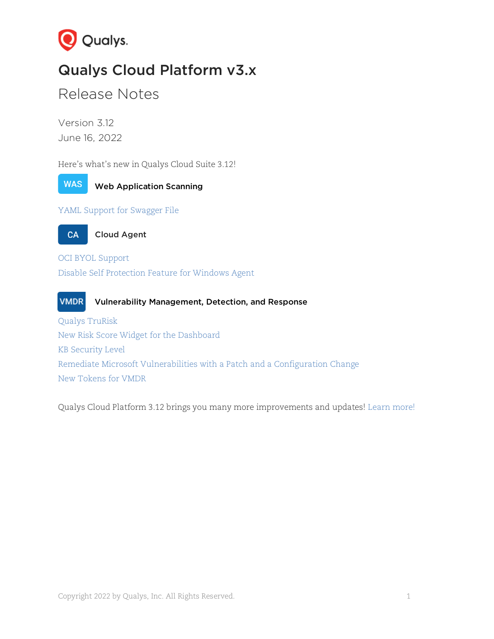

# Qualys Cloud Platform v3.x

Release Notes

Version 3.12 June 16, 2022

Here's what's new in Qualys Cloud Suite 3.12!



Web Application Scanning

[YAML Support for Swagger File](#page-1-0)

**CA** 

Cloud Agent

[OCI BYOL Support](#page-2-0) [Disable Self Protection Feature for Windows Agent](#page-3-0)

**VMDR** Vulnerability Management, Detection, and Response [Qualys TruRisk](#page-4-0) [New Risk Score Widget for the Dashboard](#page-5-0) [KB Security Level](#page-5-1) [Remediate Microsoft Vulnerabilities with a Patch and a Configuration Change](#page-6-0) [New Tokens for VMDR](#page-6-1)

Qualys Cloud Platform 3.12 brings you many more improvements and updates! [Learn more!](#page-7-0)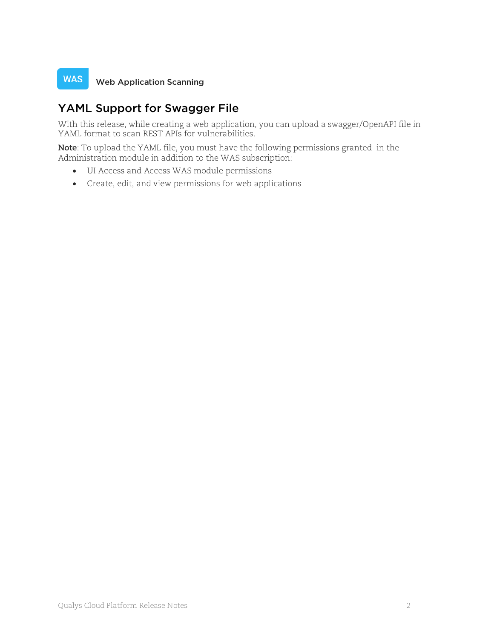#### **WAS** Web Application Scanning

### <span id="page-1-0"></span>YAML Support for Swagger File

With this release, while creating a web application, you can upload a swagger/OpenAPI file in YAML format to scan REST APIs for vulnerabilities.

**Note**: To upload the YAML file, you must have the following permissions granted in the Administration module in addition to the WAS subscription:

- UI Access and Access WAS module permissions
- Create, edit, and view permissions for web applications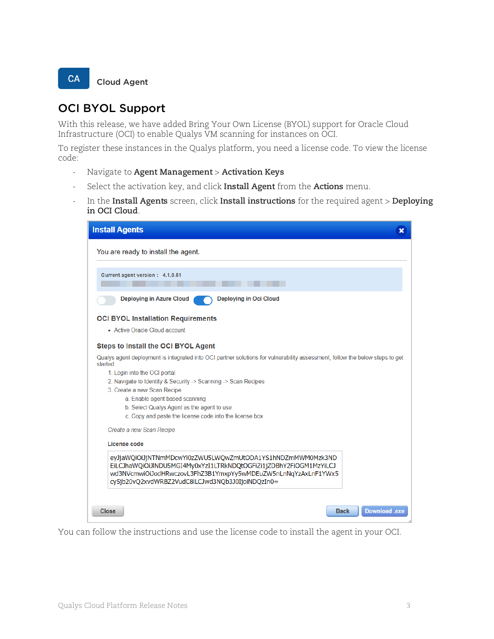<span id="page-2-0"></span>

### OCI BYOL Support

With this release, we have added Bring Your Own License (BYOL) support for Oracle Cloud Infrastructure (OCI) to enable Qualys VM scanning for instances on OCI.

To register these instances in the Qualys platform, you need a license code. To view the license code:

- Navigate to **Agent Management** > **Activation Keys**
- Select the activation key, and click **Install Agent** from the **Actions** menu.
- In the **Install Agents** screen, click **Install instructions** for the required agent > **Deploying in OCI Cloud**.



You can follow the instructions and use the license code to install the agent in your OCI.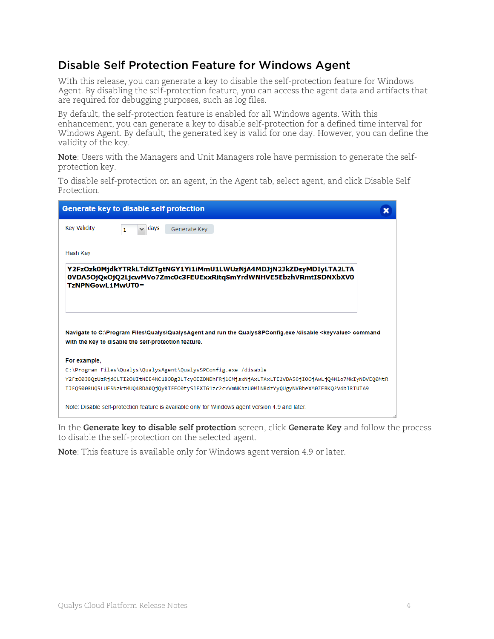### <span id="page-3-0"></span>Disable Self Protection Feature for Windows Agent

With this release, you can generate a key to disable the self-protection feature for Windows Agent. By disabling the self-protection feature, you can access the agent data and artifacts that are required for debugging purposes, such as log files.

By default, the self-protection feature is enabled for all Windows agents. With this enhancement, you can generate a key to disable self-protection for a defined time interval for Windows Agent. By default, the generated key is valid for one day. However, you can define the validity of the key.

**Note**: Users with the Managers and Unit Managers role have permission to generate the selfprotection key.

To disable self-protection on an agent, in the Agent tab, select agent, and click Disable Self Protection.

| <b>Generate key to disable self protection</b>                                                                                                                                 |  |
|--------------------------------------------------------------------------------------------------------------------------------------------------------------------------------|--|
| Key Validity<br>days<br>Generate Key<br>$\checkmark$<br>1                                                                                                                      |  |
| Hash Key                                                                                                                                                                       |  |
| Y2FzOzk0MjdkYTRkLTdiZTgtNGY1Yi1iMmU1LWUzNjA4MDJjN2JkZDsyMDIyLTA2LTA<br>0VDA5OjQxOjQ2LjcwMVo7Zmc0c3FEUExxRitgSmYrdWNHVE5EbzhVRmtISDNXbXV0<br>TzNPNGowL1MwUT0=                   |  |
| Navigate to C:\Program Files\Qualys\QualysAgent and run the QualysSPConfig.exe /disable <keyvalue> command<br/>with the key to disable the self-protection feature.</keyvalue> |  |
| For example,                                                                                                                                                                   |  |
| C:\Program Files\Qualys\QualysAgent\QualysSPConfig.exe /disable                                                                                                                |  |
| Y2Fz00JBQzUzRjdCLTI2OUItNEE4NC1BODg3LTcyOEZDNDhFRjlCMjsxNjAxLTAxLTE2VDA5OjI0OjAwLjQ4Mlo7MkIyNDVEQ0MtR                                                                          |  |
| TJF0S00RU05LUE5NzktMU04RDA00j0vRTFE00tySlFXTG1zc2cvVmNKbzU0MlNRdzYy0UgyNVBheXM0ZERK02V4blRIUTA9                                                                                |  |
| Note: Disable self-protection feature is available only for Windows agent version 4.9 and later.                                                                               |  |

In the **Generate key to disable self protection** screen, click **Generate Key** and follow the process to disable the self-protection on the selected agent.

**Note**: This feature is available only for Windows agent version 4.9 or later.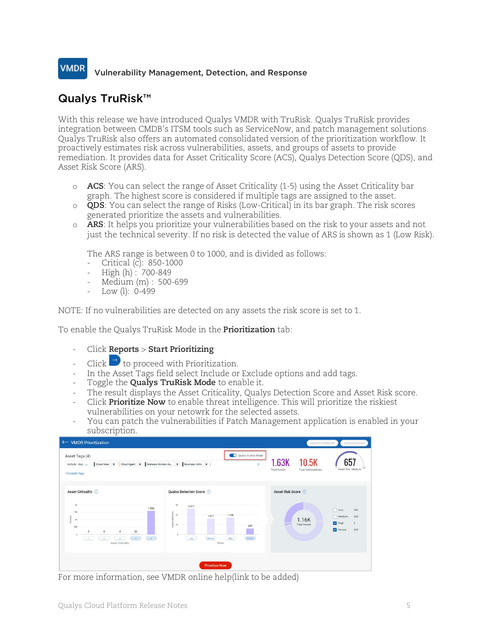### **VMDR** Vulnerability Management, Detection, and Response

# <span id="page-4-0"></span>Qualys TruRisk™

With this release we have introduced Qualys VMDR with TruRisk. Qualys TruRisk provides integration between CMDB's ITSM tools such as ServiceNow, and patch management solutions. Qualys TruRisk also offers an automated consolidated version of the prioritization workflow. It proactively estimates risk across vulnerabilities, assets, and groups of assets to provide remediation. It provides data for Asset Criticality Score (ACS), Qualys Detection Score (QDS), and Asset Risk Score (ARS).

- o **ACS**: You can select the range of Asset Criticality (1-5) using the Asset Criticality bar graph. The highest score is considered if multiple tags are assigned to the asset.
- o **QDS**: You can select the range of Risks (Low-Critical) in its bar graph. The risk scores generated prioritize the assets and vulnerabilities.
- o **ARS**: It helps you prioritize your vulnerabilities based on the risk to your assets and not just the technical severity. If no risk is detected the value of ARS is shown as 1 (Low Risk).

The ARS range is between 0 to 1000, and is divided as follows:

- Critical (c): 850-1000
- $-$  High (h): 700-849
- Medium (m) : 500-699
- Low (l): 0-499

NOTE: If no vulnerabilities are detected on any assets the risk score is set to 1.

To enable the Qualys TruRisk Mode in the **Prioritization** tab:

- Click **Reports** > **Start Prioritizing**
- Click  $\rightarrow$  to proceed with Prioritization.
- In the Asset Tags field select Include or Exclude options and add tags.
- Toggle the **Qualys TruRisk Mode** to enable it.
- The result displays the Asset Criticality, Qualys Detection Score and Asset Risk score.
- Click **Prioritize Now** to enable threat intelligence. This will prioritize the riskiest vulnerabilities on your netowrk for the selected assets.
- You can patch the vulnerabilities if Patch Management application is enabled in your subscription.

| <b>VMDR Prioritization</b><br>$\leftarrow$                                                                                                                         |                                                                                                                                                                         |                              | Export to Dashboard                   | Save & Download                                                    |
|--------------------------------------------------------------------------------------------------------------------------------------------------------------------|-------------------------------------------------------------------------------------------------------------------------------------------------------------------------|------------------------------|---------------------------------------|--------------------------------------------------------------------|
| Asset Tags (4)<br>Cloud View x Cloud Agent x Malware Domain As x Business Units x  <br>Include Any $\vee$<br>+ Exclude Tags                                        | Qualys TruRisk Mode<br>$\times$                                                                                                                                         | 1.63K<br><b>Total Assets</b> | 10.5K<br><b>Total Vulnerabilities</b> | Asset Risk: Medium                                                 |
| Asset Criticality ©<br>2K<br>1 5 9 6<br>1.5K<br>Assets<br>16<br>500<br>$\circ$<br>25<br>$\Omega$<br>8<br>$\mathcal{A}$ .<br>1<br>$\mathbf{3}$<br>Asset Criticality | Qualys Detection Score (1)<br>$3K$<br>2617<br>Vulnerabilities<br>28<br>1736<br>1617<br>1K<br>629<br>Medium<br>Critical<br>High<br>Low<br>Risks<br><b>Prioritize Now</b> | Asset Risk Score (i)         | 1.16K<br><b>Total Assets</b>          | $\Box$ Low<br>286<br>559<br>Medium<br>V High<br>6<br>Severe<br>309 |

For more information, see VMDR online help(link to be added)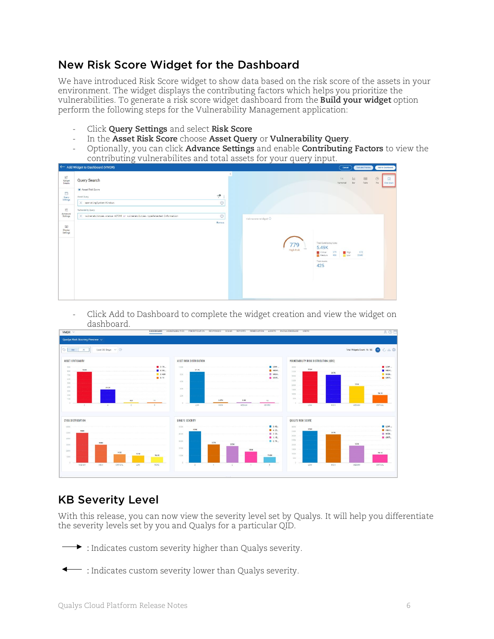# <span id="page-5-0"></span>New Risk Score Widget for the Dashboard

We have introduced Risk Score widget to show data based on the risk score of the assets in your environment. The widget displays the contributing factors which helps you prioritize the vulnerabilities. To generate a risk score widget dashboard from the **Build your widget** option perform the following steps for the Vulnerability Management application:

- Click **Query Settings** and select **Risk Score**
- In the **Asset Risk Score** choose **Asset Query** or **Vulnerability Query**.
- Optionally, you can click **Advance Settings** and enable **Contributing Factors** to view the contributing vulnerabilites and total assets for your query input.

|                                                                     | ← Add Widget to Dashboard (VMDR)                                                                                     |                     |                                        | Cancel                                                                                                                            | Test and Preview           | Add to Dashboard                                            |
|---------------------------------------------------------------------|----------------------------------------------------------------------------------------------------------------------|---------------------|----------------------------------------|-----------------------------------------------------------------------------------------------------------------------------------|----------------------------|-------------------------------------------------------------|
| EG<br>Widget<br>Details<br>$\overline{\omega}$<br>Query<br>Settings | Query Search<br>Asset Risk Score<br>$\mathcal{P}$ :<br>Asset Query<br>$^{\circ}$<br>$\times$ operatingSystem:Windows |                     |                                        | 1K<br>Numerical                                                                                                                   | $\ln$<br>皿<br>Bar<br>Table | $\circledcirc$<br>团<br>$P_{\text{IR}}$<br><b>Risk Score</b> |
| $\equiv$                                                            | Vulnerability Query                                                                                                  |                     |                                        |                                                                                                                                   |                            |                                                             |
| Advanced<br>Settings<br>EEE<br>Display<br>Settings                  | $\circledcirc$<br>X vulnerabilities.status:ACTIVE or vulnerabilities.typeDetected:Information<br>Remove.             | risk-score-widget © | 779<br><b>High Risk</b><br><b>Some</b> | Total Contributing Vulne<br>5.49K<br>Critical<br>579<br><b>H</b> High<br>904<br>Medium<br>Low <sub>1</sub><br>Total Assets<br>425 | 672<br>2.04K               |                                                             |

- Click Add to Dashboard to complete the widget creation and view the widget on dashboard.

| Qualys Risk Scoring Preview V                                                                                        |                |                                |              |                   |                |                          |                                              |      |                                         |                                                                     |
|----------------------------------------------------------------------------------------------------------------------|----------------|--------------------------------|--------------|-------------------|----------------|--------------------------|----------------------------------------------|------|-----------------------------------------|---------------------------------------------------------------------|
|                                                                                                                      |                |                                |              |                   |                |                          |                                              |      |                                         |                                                                     |
| $\bigcirc$ Any<br>Last 30 Days $\vee$ 1<br>All                                                                       |                |                                |              |                   |                |                          |                                              |      | Total Widgets Count: 16 / 80 ( L C L C) |                                                                     |
| <b>ASSET CRITICALITY</b>                                                                                             |                | <b>ASSET RISK DISTRIBUTION</b> |              |                   |                |                          | <b>VULNERABILITY RISK DISTRIBUTION (QDS)</b> |      |                                         |                                                                     |
| one.                                                                                                                 | 2.78           | 1006                           |              |                   | $10W -$        | ADDK <sup>1</sup>        |                                              |      |                                         | $\blacksquare$ LOW:                                                 |
| 78.8K<br>8000                                                                                                        | 4:34           | 87.7K                          |              |                   | <b>B</b> HIGHL | 350K                     | 356K                                         | 317K |                                         | $B$ HIGH                                                            |
| 700                                                                                                                  | 2.420          | $BCK$ -                        |              |                   | <b>B</b> MEDL  | SOOK                     |                                              |      |                                         | MEDI.                                                               |
| 60K                                                                                                                  | 8.11           | CON:                           |              |                   | SEVE.          | 250K                     |                                              |      |                                         | CRITI.                                                              |
| SOK:                                                                                                                 |                |                                |              |                   |                | 200K                     |                                              |      | 191K                                    |                                                                     |
| $ACK$<br>34.3K                                                                                                       |                | $_{\rm HIR}$                   |              |                   |                | 1500                     |                                              |      |                                         |                                                                     |
| 30K                                                                                                                  |                |                                |              |                   |                | 100K                     |                                              |      |                                         | 90.1K                                                               |
| <b>20K</b>                                                                                                           |                | 206                            |              |                   |                |                          |                                              |      |                                         |                                                                     |
|                                                                                                                      |                |                                |              |                   |                |                          |                                              |      |                                         |                                                                     |
| TOIC<br><b>Service</b><br>m.                                                                                         | 420<br>11      |                                | 2.87K        | 2.8K              | 12             | <b>BOK:</b><br>$\sim$    |                                              |      |                                         |                                                                     |
| $-8$<br>$-4$                                                                                                         | 2<br>$5 -$     | LOW                            | HIGH         | <b>MEDIUM</b>     | SEVERE         |                          | LOW                                          | HIGH | <b>ANEDIUM</b>                          | <b>CRITICAL</b>                                                     |
|                                                                                                                      |                |                                |              |                   |                |                          |                                              |      |                                         |                                                                     |
|                                                                                                                      |                |                                |              |                   |                |                          |                                              |      |                                         |                                                                     |
|                                                                                                                      |                | QUALYS SEVERITY                |              |                   |                | <b>QUALYS RISK SCORE</b> |                                              |      |                                         |                                                                     |
|                                                                                                                      |                | <b>SCOK</b>                    |              |                   | $2.41$ .       | apps.                    |                                              |      |                                         |                                                                     |
| DOOK                                                                                                                 |                | <b>429K</b>                    |              |                   | 425.           | 350K                     | 356K                                         |      |                                         |                                                                     |
|                                                                                                                      |                | 400K                           |              |                   | ■ 2:23.        | 300K                     |                                              | 317K |                                         |                                                                     |
|                                                                                                                      |                |                                |              |                   | 1:15           |                          |                                              |      |                                         |                                                                     |
| <b>204K</b>                                                                                                          |                | 300K                           | 257K<br>233K |                   | <b>B</b> 5:79  | 250K                     |                                              |      | 191K                                    |                                                                     |
|                                                                                                                      |                | 200K                           |              |                   |                | 200K                     |                                              |      |                                         |                                                                     |
| 142K                                                                                                                 |                |                                |              | 136K              |                | <b>150K</b>              |                                              |      |                                         | 90.1K                                                               |
|                                                                                                                      | 121K<br>98.400 | <b>100K</b>                    |              |                   | 79.8K          | <b>TOOK</b>              |                                              |      |                                         |                                                                     |
|                                                                                                                      |                |                                |              |                   |                | SOK:                     |                                              |      |                                         |                                                                     |
| <b>CVSS DISTRIBUTION</b><br>sons:<br>spok.<br>400K<br>300K<br>200K<br>100K<br>$\alpha$<br>MEDIUM<br>HIGH<br>CRITICAL | LOW-<br>NONE   | $\alpha$<br>$\mathcal{R}$      | 4.1<br>$-2$  | <b>COLLECTION</b> | 5              | $0 -$                    | LOW<br>SU.                                   | HIGH | ABDIUM                                  | $\Box$ LOW:<br><b>B</b> HIGHL<br><b>MEDL.</b><br>CRITI.<br>CRITICAL |

### <span id="page-5-1"></span>KB Severity Level

With this release, you can now view the severity level set by Qualys. It will help you differentiate the severity levels set by you and Qualys for a particular QID.

 $\rightarrow$  : Indicates custom severity higher than Qualys severity.

: Indicates custom severity lower than Qualys severity.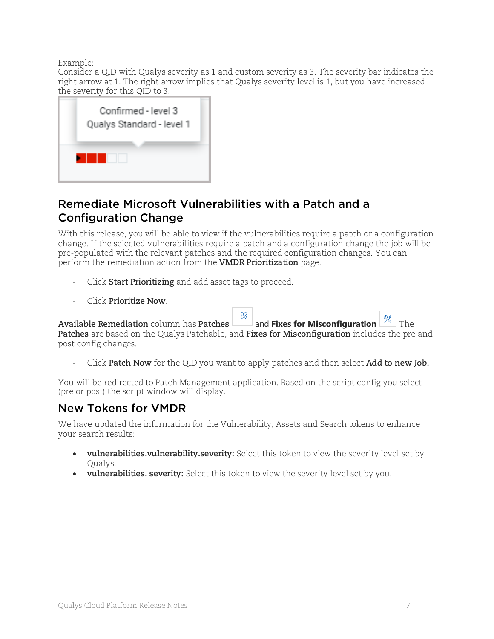Example:

Consider a QID with Qualys severity as 1 and custom severity as 3. The severity bar indicates the right arrow at 1. The right arrow implies that Qualys severity level is 1, but you have increased the severity for this QID to 3.



### <span id="page-6-0"></span>Remediate Microsoft Vulnerabilities with a Patch and a Configuration Change

With this release, you will be able to view if the vulnerabilities require a patch or a configuration change. If the selected vulnerabilities require a patch and a configuration change the job will be pre-populated with the relevant patches and the required configuration changes. You can perform the remediation action from the **VMDR Prioritization** page.

- Click **Start Prioritizing** and add asset tags to proceed.
- Click **Prioritize Now**.

 $\otimes$ **Available Remediation** column has **Patches** and **Fixes for Misconfiguration**  $\sim$  The **Patches** are based on the Qualys Patchable, and **Fixes for Misconfiguration** includes the pre and post config changes.

- Click **Patch Now** for the QID you want to apply patches and then select **Add to new Job.**

You will be redirected to Patch Management application. Based on the script config you select (pre or post) the script window will display.

### <span id="page-6-1"></span>New Tokens for VMDR

We have updated the information for the Vulnerability, Assets and Search tokens to enhance your search results:

- **vulnerabilities.vulnerability.severity:** Select this token to view the severity level set by Qualys.
- **vulnerabilities. severity:** Select this token to view the severity level set by you.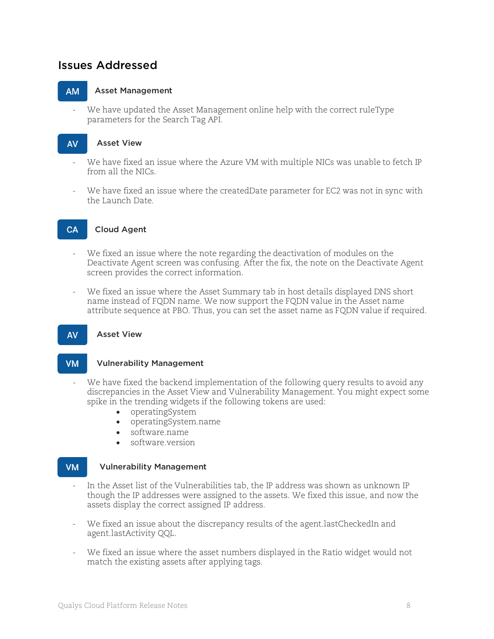### <span id="page-7-0"></span>Issues Addressed

#### **AM** Asset Management

We have updated the Asset Management online help with the correct ruleType parameters for the Search Tag API.

#### **AV** Asset View

- We have fixed an issue where the Azure VM with multiple NICs was unable to fetch IP from all the NICs.
- We have fixed an issue where the createdDate parameter for EC2 was not in sync with the Launch Date.

#### CA Cloud Agent

- We fixed an issue where the note regarding the deactivation of modules on the Deactivate Agent screen was confusing. After the fix, the note on the Deactivate Agent screen provides the correct information.
- We fixed an issue where the Asset Summary tab in host details displayed DNS short name instead of FQDN name. We now support the FQDN value in the Asset name attribute sequence at PBO. Thus, you can set the asset name as FQDN value if required.

#### Asset View **AV**

#### Vulnerability Management **VM**

- We have fixed the backend implementation of the following query results to avoid any discrepancies in the Asset View and Vulnerability Management. You might expect some spike in the trending widgets if the following tokens are used:
	- operatingSystem
	- operatingSystem.name
	- software.name
	- software.version

#### **VM** Vulnerability Management

- In the Asset list of the Vulnerabilities tab, the IP address was shown as unknown IP though the IP addresses were assigned to the assets. We fixed this issue, and now the assets display the correct assigned IP address.
- We fixed an issue about the discrepancy results of the agent.lastCheckedIn and agent.lastActivity QQL.
- We fixed an issue where the asset numbers displayed in the Ratio widget would not match the existing assets after applying tags.